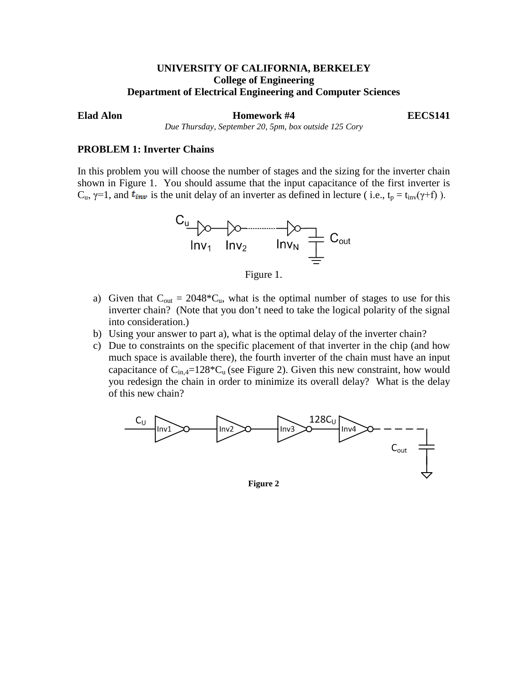# **UNIVERSITY OF CALIFORNIA, BERKELEY College of Engineering Department of Electrical Engineering and Computer Sciences**

**Elad Alon Homework #4 EECS141** 

*Due Thursday, September 20, 5pm, box outside 125 Cory*

## **PROBLEM 1: Inverter Chains**

In this problem you will choose the number of stages and the sizing for the inverter chain shown in Figure 1. You should assume that the input capacitance of the first inverter is  $C_u$ ,  $\gamma=1$ , and  $t_{inv}$  is the unit delay of an inverter as defined in lecture (i.e.,  $t_p = t_{inv}(\gamma + f)$ ).



Figure 1.

- a) Given that  $C_{out} = 2048 \times C_{u}$ , what is the optimal number of stages to use for this inverter chain? (Note that you don't need to take the logical polarity of the signal into consideration.)
- b) Using your answer to part a), what is the optimal delay of the inverter chain?
- c) Due to constraints on the specific placement of that inverter in the chip (and how much space is available there), the fourth inverter of the chain must have an input capacitance of  $C_{in,4}=128*C_u$  (see Figure 2). Given this new constraint, how would you redesign the chain in order to minimize its overall delay? What is the delay of this new chain?



**Figure 2**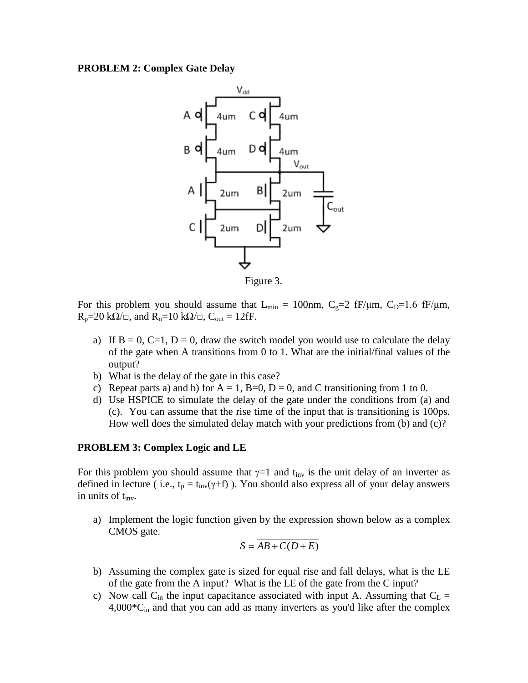# **PROBLEM 2: Complex Gate Delay**



Figure 3.

For this problem you should assume that  $L_{min} = 100$ nm,  $C_g=2$  fF/ $\mu$ m,  $C_p=1.6$  fF/ $\mu$ m,  $R_p=20 \text{ k}\Omega/\square$ , and  $R_n=10 \text{ k}\Omega/\square$ ,  $C_{out}=12 \text{ fF}$ .

- a) If  $B = 0$ ,  $C=1$ ,  $D = 0$ , draw the switch model you would use to calculate the delay of the gate when A transitions from 0 to 1. What are the initial/final values of the output?
- b) What is the delay of the gate in this case?
- c) Repeat parts a) and b) for  $A = 1$ ,  $B=0$ ,  $D = 0$ , and C transitioning from 1 to 0.
- d) Use HSPICE to simulate the delay of the gate under the conditions from (a) and (c). You can assume that the rise time of the input that is transitioning is 100ps. How well does the simulated delay match with your predictions from (b) and (c)?

### **PROBLEM 3: Complex Logic and LE**

For this problem you should assume that  $\gamma=1$  and t<sub>inv</sub> is the unit delay of an inverter as defined in lecture ( i.e.,  $t_p = t_{inv}(\gamma + f)$  ). You should also express all of your delay answers in units of  $t_{inv}$ .

a) Implement the logic function given by the expression shown below as a complex CMOS gate.

$$
S = AB + C(D + E)
$$

- b) Assuming the complex gate is sized for equal rise and fall delays, what is the LE of the gate from the A input? What is the LE of the gate from the C input?
- c) Now call  $C_{in}$  the input capacitance associated with input A. Assuming that  $C_L$  =  $4,000^{\circ}C_{in}$  and that you can add as many inverters as you'd like after the complex